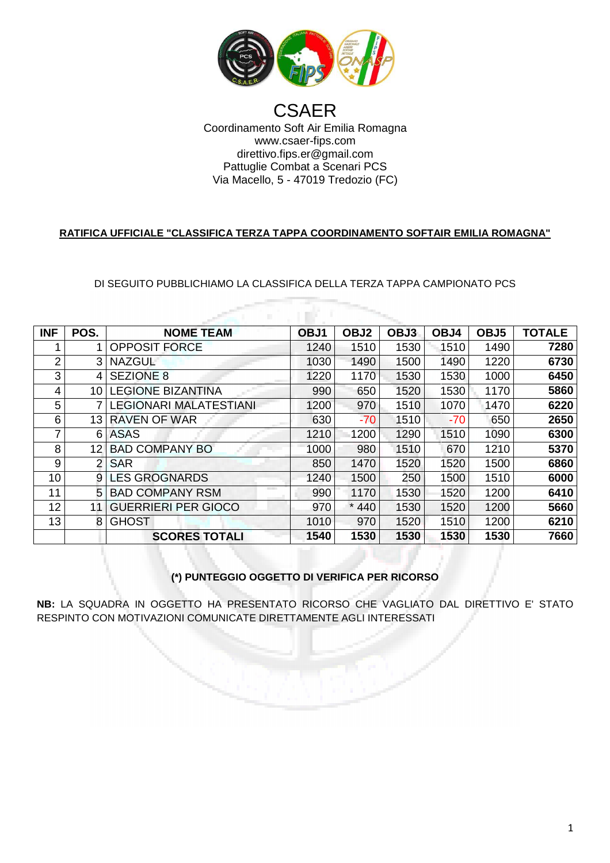

### Coordinamento Soft Air Emilia Romagna Via Macello Macello, 5 - 47019 Tredozio (FC) **CSAER** www.csaer-fips.com direttivo.fips.er@gmail.com Pattuglie Combat a Scenari PCS

### **RATIFICA UFFICIALE "CLASSIFICA TERZA TAPPA COORDINAMENTO SOFTAIR EMILIA ROMAGNA"**

DI SEGUITO PUBBLICHIAMO LA CLASSIFICA DELLA TERZA TAPPA CAMPIONATO PCS

a milit

| <b>INF</b>     | POS.              | <b>NOME TEAM</b>              | OBJ1 | OBJ <sub>2</sub> | OBJ3 | OBJ4  | OBJ <sub>5</sub> | <b>TOTALE</b> |
|----------------|-------------------|-------------------------------|------|------------------|------|-------|------------------|---------------|
|                |                   |                               |      |                  |      |       |                  |               |
|                |                   | <b>OPPOSIT FORCE</b>          | 1240 | 1510             | 1530 | 1510  | 1490             | 7280          |
| $\overline{2}$ | 3                 | <b>NAZGUL</b>                 | 1030 | 1490             | 1500 | 1490  | 1220             | 6730          |
| 3              | 4                 | <b>SEZIONE 8</b>              | 1220 | 1170             | 1530 | 1530  | 1000             | 6450          |
| 4              | 10                | <b>LEGIONE BIZANTINA</b>      | 990  | 650              | 1520 | 1530  | 1170             | 5860          |
| 5              |                   | <b>LEGIONARI MALATESTIANI</b> | 1200 | 970              | 1510 | 1070  | 1470             | 6220          |
| 6              | 13                | <b>RAVEN OF WAR</b>           | 630  | $-70$            | 1510 | $-70$ | 650              | 2650          |
| 7              | 6                 | <b>ASAS</b>                   | 1210 | 1200             | 1290 | 1510  | 1090             | 6300          |
| 8              | $12 \overline{ }$ | <b>BAD COMPANY BO</b>         | 1000 | 980              | 1510 | 670   | 1210             | 5370          |
| 9              | 2                 | <b>SAR</b>                    | 850  | 1470             | 1520 | 1520  | 1500             | 6860          |
| 10             | 9                 | <b>LES GROGNARDS</b>          | 1240 | 1500             | 250  | 1500  | 1510             | 6000          |
| 11             | 5                 | <b>BAD COMPANY RSM</b>        | 990  | 1170             | 1530 | 1520  | 1200             | 6410          |
| 12             | 11                | <b>GUERRIERI PER GIOCO</b>    | 970  | $\star$<br>440   | 1530 | 1520  | 1200             | 5660          |
| 13             | 8                 | <b>GHOST</b>                  | 1010 | 970              | 1520 | 1510  | 1200             | 6210          |
|                |                   | <b>SCORES TOTALI</b>          | 1540 | 1530             | 1530 | 1530  | 1530             | 7660          |

# **(\*) PUNTEGGIO OGGETTO DI VERIFICA PER RICORSO**

**NB:** LA SQUADRA IN OGGETTO HA PRESENTATO RICORSO CHE VAGLIATO DAL DIRETTIVO E' STATO RESPINTO CON MOTIVAZIONI COMUN NICATE DIRETTAMENTE AGLI INTERESSATI